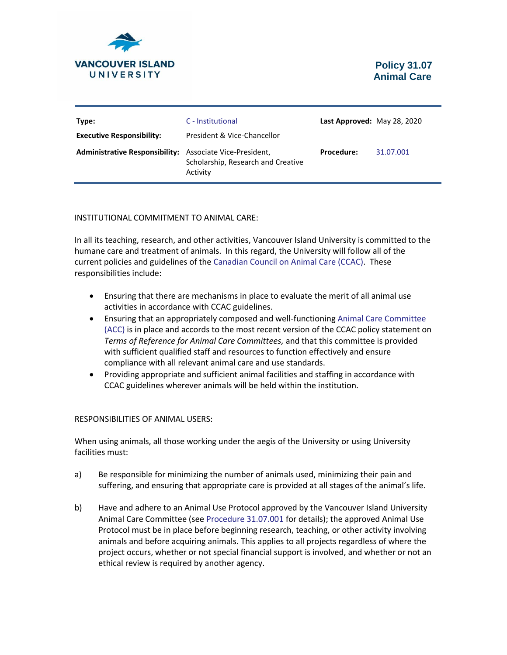

| Type:<br><b>Executive Responsibility:</b>                | C - Institutional<br>President & Vice-Chancellor | Last Approved: May 28, 2020 |           |
|----------------------------------------------------------|--------------------------------------------------|-----------------------------|-----------|
| Administrative Responsibility: Associate Vice-President, | Scholarship, Research and Creative<br>Activity   | <b>Procedure:</b>           | 31.07.001 |

# INSTITUTIONAL COMMITMENT TO ANIMAL CARE:

In all its teaching, research, and other activities, Vancouver Island University is committed to the humane care and treatment of animals. In this regard, the University will follow all of the current policies and guidelines of the [Canadian Council on Animal Care](http://www.ccac.ca/en_/standards) (CCAC). These responsibilities include:

- Ensuring that there are mechanisms in place to evaluate the merit of all animal use activities in accordance with CCAC guidelines.
- Ensuring that an appropriately composed and well-functioning [Animal Care Committee](http://www.viu.ca/animalcare/theanimalcarecomm.asp)  [\(ACC\)](http://www.viu.ca/animalcare/theanimalcarecomm.asp) is in place and accords to the most recent version of the CCAC policy statement on *Terms of Reference for Animal Care Committees,* and that this committee is provided with sufficient qualified staff and resources to function effectively and ensure compliance with all relevant animal care and use standards.
- Providing appropriate and sufficient animal facilities and staffing in accordance with CCAC guidelines wherever animals will be held within the institution.

# RESPONSIBILITIES OF ANIMAL USERS:

When using animals, all those working under the aegis of the University or using University facilities must:

- a) Be responsible for minimizing the number of animals used, minimizing their pain and suffering, and ensuring that appropriate care is provided at all stages of the animal's life.
- b) Have and adhere to an Animal Use Protocol approved by the Vancouver Island University Animal Care Committee (see [Procedure 31.07.001](https://isapp.viu.ca/PolicyProcedure/docshow.asp?doc_id=22736) for details); the approved Animal Use Protocol must be in place before beginning research, teaching, or other activity involving animals and before acquiring animals. This applies to all projects regardless of where the project occurs, whether or not special financial support is involved, and whether or not an ethical review is required by another agency.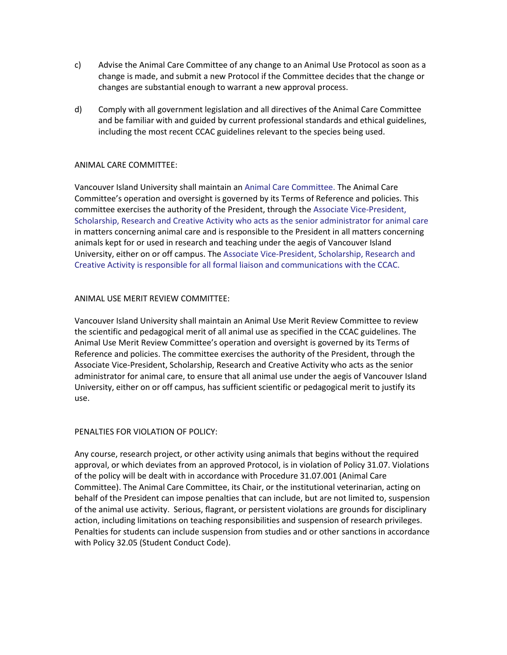- c) Advise the Animal Care Committee of any change to an Animal Use Protocol as soon as a change is made, and submit a new Protocol if the Committee decides that the change or changes are substantial enough to warrant a new approval process.
- d) Comply with all government legislation and all directives of the Animal Care Committee and be familiar with and guided by current professional standards and ethical guidelines, including the most recent CCAC guidelines relevant to the species being used.

# ANIMAL CARE COMMITTEE:

Vancouver Island University shall maintain a[n Animal Care Committee.](http://www.viu.ca/animalcare/theanimalcarecomm.asp) The Animal Care Committee's operation and oversight is governed by its Terms of Reference and policies. This committee exercises the authority of the President, through the Associate Vice-President, Scholarship, Research and Creative Activity who acts as the senior administrator for animal care in matters concerning animal care and is responsible to the President in all matters concerning animals kept for or used in research and teaching under the aegis of Vancouver Island University, either on or off campus. The Associate Vice-President, Scholarship, Research and Creative Activity is responsible for all formal liaison and communications with the CCAC.

# ANIMAL USE MERIT REVIEW COMMITTEE:

Vancouver Island University shall maintain an Animal Use Merit Review Committee to review the scientific and pedagogical merit of all animal use as specified in the CCAC guidelines. The Animal Use Merit Review Committee's operation and oversight is governed by its Terms of Reference and policies. The committee exercises the authority of the President, through the Associate Vice-President, Scholarship, Research and Creative Activity who acts as the senior administrator for animal care, to ensure that all animal use under the aegis of Vancouver Island University, either on or off campus, has sufficient scientific or pedagogical merit to justify its use.

#### PENALTIES FOR VIOLATION OF POLICY:

Any course, research project, or other activity using animals that begins without the required approval, or which deviates from an approved Protocol, is in violation of Policy 31.07. Violations of the policy will be dealt with in accordance with Procedure 31.07.001 (Animal Care Committee). The Animal Care Committee, its Chair, or the institutional veterinarian, acting on behalf of the President can impose penalties that can include, but are not limited to, suspension of the animal use activity. Serious, flagrant, or persistent violations are grounds for disciplinary action, including limitations on teaching responsibilities and suspension of research privileges. Penalties for students can include suspension from studies and or other sanctions in accordance with Policy 32.05 (Student Conduct Code).